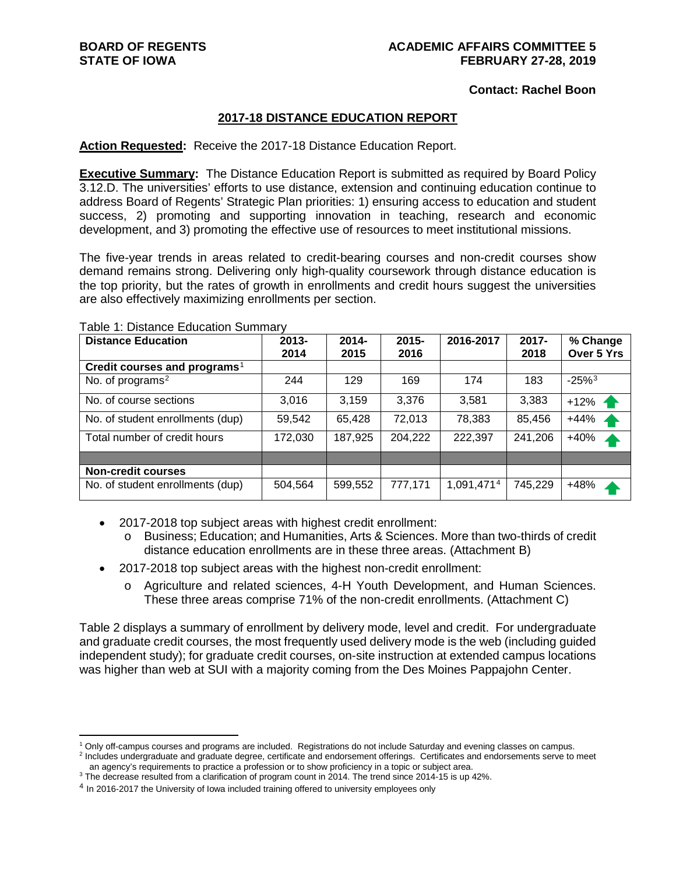#### **Contact: Rachel Boon**

### **2017-18 DISTANCE EDUCATION REPORT**

#### **Action Requested:** Receive the 2017-18 Distance Education Report.

**Executive Summary:** The Distance Education Report is submitted as required by Board Policy 3.12.D. The universities' efforts to use distance, extension and continuing education continue to address Board of Regents' Strategic Plan priorities: 1) ensuring access to education and student success, 2) promoting and supporting innovation in teaching, research and economic development, and 3) promoting the effective use of resources to meet institutional missions.

The five-year trends in areas related to credit-bearing courses and non-credit courses show demand remains strong. Delivering only high-quality coursework through distance education is the top priority, but the rates of growth in enrollments and credit hours suggest the universities are also effectively maximizing enrollments per section.

| <b>Distance Education</b>                | 2013-<br>2014 | $2014 -$<br>2015 | $2015 -$<br>2016 | 2016-2017  | $2017 -$<br>2018 | % Change<br>Over 5 Yrs |
|------------------------------------------|---------------|------------------|------------------|------------|------------------|------------------------|
| Credit courses and programs <sup>1</sup> |               |                  |                  |            |                  |                        |
| No. of programs <sup>2</sup>             | 244           | 129              | 169              | 174        | 183              | $-25%$ <sup>3</sup>    |
| No. of course sections                   | 3,016         | 3,159            | 3,376            | 3,581      | 3,383            | $+12\%$ $\rightarrow$  |
| No. of student enrollments (dup)         | 59,542        | 65,428           | 72,013           | 78,383     | 85,456           | $+44%$                 |
| Total number of credit hours             | 172,030       | 187,925          | 204,222          | 222,397    | 241,206          | $+40%$                 |
|                                          |               |                  |                  |            |                  |                        |
| <b>Non-credit courses</b>                |               |                  |                  |            |                  |                        |
| No. of student enrollments (dup)         | 504,564       | 599,552          | 777,171          | 1,091,4714 | 745,229          | +48%                   |

Table 1: Distance Education Summary

- 2017-2018 top subject areas with highest credit enrollment:
	- o Business; Education; and Humanities, Arts & Sciences. More than two-thirds of credit distance education enrollments are in these three areas. (Attachment B)
- 2017-2018 top subject areas with the highest non-credit enrollment:
	- o Agriculture and related sciences, 4-H Youth Development, and Human Sciences. These three areas comprise 71% of the non-credit enrollments. (Attachment C)

Table 2 displays a summary of enrollment by delivery mode, level and credit. For undergraduate and graduate credit courses, the most frequently used delivery mode is the web (including guided independent study); for graduate credit courses, on-site instruction at extended campus locations was higher than web at SUI with a majority coming from the Des Moines Pappajohn Center.

<span id="page-0-1"></span><span id="page-0-0"></span> <sup>1</sup> Only off-campus courses and programs are included. Registrations do not include Saturday and evening classes on campus. <sup>2</sup> Includes undergraduate and graduate degree, certificate and endorsement offerings. Certificates and endorsements serve to meet

an agency's requirements to practice a profession or to show proficiency in a topic or subject area.

<span id="page-0-2"></span><sup>&</sup>lt;sup>3</sup> The decrease resulted from a clarification of program count in 2014. The trend since 2014-15 is up 42%.

<span id="page-0-3"></span><sup>&</sup>lt;sup>4</sup> In 2016-2017 the University of Iowa included training offered to university employees only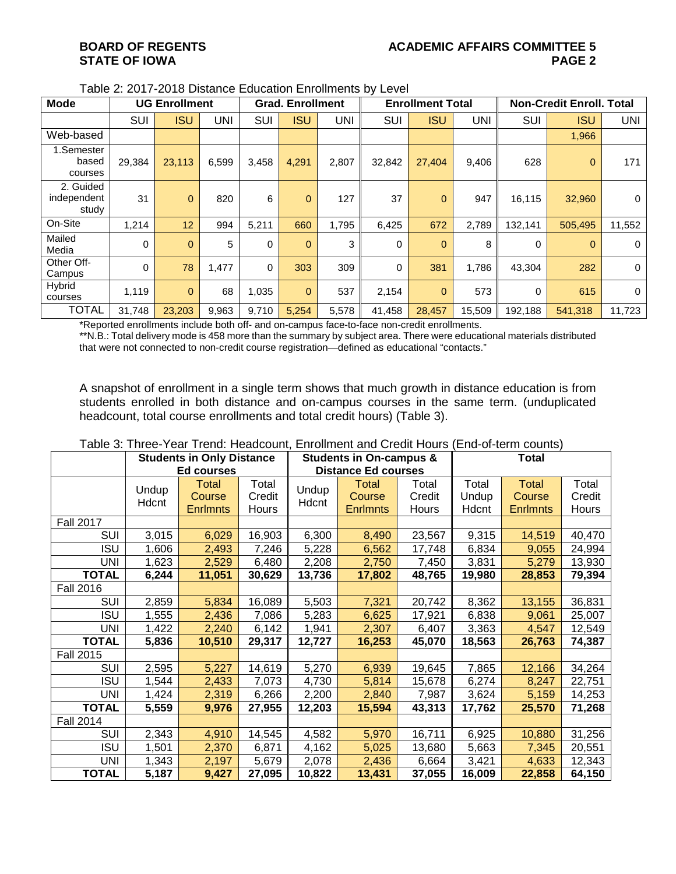| <b>Mode</b>                       |            | <b>UG Enrollment</b> |            |            | <b>Grad. Enrollment</b> |       |             | <b>Enrollment Total</b> |            |          | <b>Non-Credit Enroll. Total</b> |                |
|-----------------------------------|------------|----------------------|------------|------------|-------------------------|-------|-------------|-------------------------|------------|----------|---------------------------------|----------------|
|                                   | <b>SUI</b> | <b>ISU</b>           | <b>UNI</b> | <b>SUI</b> | <b>ISU</b>              | UNI   | <b>SUI</b>  | <b>ISU</b>              | <b>UNI</b> | SUI      | <b>ISU</b>                      | <b>UNI</b>     |
| Web-based                         |            |                      |            |            |                         |       |             |                         |            |          | 1,966                           |                |
| 1.Semester<br>based<br>courses    | 29,384     | 23,113               | 6,599      | 3,458      | 4,291                   | 2,807 | 32,842      | 27,404                  | 9,406      | 628      | $\mathbf 0$                     | 171            |
| 2. Guided<br>independent<br>study | 31         | $\mathbf{0}$         | 820        | 6          | $\overline{0}$          | 127   | 37          | $\mathbf{0}$            | 947        | 16,115   | 32,960                          | $\mathbf 0$    |
| On-Site                           | 1,214      | 12                   | 994        | 5,211      | 660                     | 1,795 | 6,425       | 672                     | 2,789      | 132,141  | 505.495                         | 11,552         |
| Mailed<br>Media                   | 0          | $\mathbf{0}$         | 5          | 0          | $\overline{0}$          | 3     | $\mathbf 0$ | $\theta$                | 8          | 0        | $\Omega$                        | $\mathbf 0$    |
| Other Off-<br>Campus              | 0          | 78                   | 1,477      | 0          | 303                     | 309   | 0           | 381                     | 1,786      | 43,304   | 282                             | $\overline{0}$ |
| Hybrid<br>courses                 | 1,119      | $\mathbf{0}$         | 68         | 1,035      | $\mathbf{0}$            | 537   | 2,154       | $\overline{0}$          | 573        | $\Omega$ | 615                             | $\overline{0}$ |
| <b>TOTAL</b>                      | 31,748     | 23,203               | 9,963      | 9,710      | 5,254                   | 5,578 | 41,458      | 28,457                  | 15,509     | 192,188  | 541.318                         | 11.723         |

Table 2: 2017-2018 Distance Education Enrollments by Level

\*Reported enrollments include both off- and on-campus face-to-face non-credit enrollments.

\*\*N.B.: Total delivery mode is 458 more than the summary by subject area. There were educational materials distributed that were not connected to non-credit course registration—defined as educational "contacts."

A snapshot of enrollment in a single term shows that much growth in distance education is from students enrolled in both distance and on-campus courses in the same term. (unduplicated headcount, total course enrollments and total credit hours) (Table 3).

|                  |       | rapic J. Three-Tear Trend. Headcoditt, Embilitient and Orealt Hours |        |        |                                    |        | LUU-VEIDI VUUROJ |                 |        |  |
|------------------|-------|---------------------------------------------------------------------|--------|--------|------------------------------------|--------|------------------|-----------------|--------|--|
|                  |       | <b>Students in Only Distance</b>                                    |        |        | <b>Students in On-campus &amp;</b> |        | <b>Total</b>     |                 |        |  |
|                  |       | <b>Ed courses</b>                                                   |        |        | <b>Distance Ed courses</b>         |        |                  |                 |        |  |
|                  | Undup | <b>Total</b>                                                        | Total  | Undup  | <b>Total</b>                       | Total  | Total            | <b>Total</b>    | Total  |  |
|                  | Hdcnt | Course                                                              | Credit | Hdcnt  | Course                             | Credit | Undup            | Course          | Credit |  |
|                  |       | <b>Enrlmnts</b>                                                     | Hours  |        | <b>Enrlmnts</b>                    | Hours  | Hdcnt            | <b>Enrimnts</b> | Hours  |  |
| <b>Fall 2017</b> |       |                                                                     |        |        |                                    |        |                  |                 |        |  |
| <b>SUI</b>       | 3,015 | 6,029                                                               | 16,903 | 6,300  | 8,490                              | 23,567 | 9,315            | 14,519          | 40,470 |  |
| <b>ISU</b>       | 1,606 | 2,493                                                               | 7,246  | 5,228  | 6,562                              | 17,748 | 6,834            | 9,055           | 24,994 |  |
| <b>UNI</b>       | 1,623 | 2,529                                                               | 6,480  | 2,208  | 2,750                              | 7,450  | 3,831            | 5,279           | 13,930 |  |
| <b>TOTAL</b>     | 6,244 | 11,051                                                              | 30,629 | 13,736 | 17,802                             | 48,765 | 19,980           | 28,853          | 79,394 |  |
| <b>Fall 2016</b> |       |                                                                     |        |        |                                    |        |                  |                 |        |  |
| <b>SUI</b>       | 2,859 | 5,834                                                               | 16,089 | 5,503  | 7,321                              | 20,742 | 8,362            | 13,155          | 36,831 |  |
| <b>ISU</b>       | 1,555 | 2,436                                                               | 7,086  | 5,283  | 6,625                              | 17,921 | 6,838            | 9,061           | 25,007 |  |
| <b>UNI</b>       | 1,422 | 2,240                                                               | 6,142  | 1,941  | 2,307                              | 6,407  | 3,363            | 4,547           | 12,549 |  |
| <b>TOTAL</b>     | 5,836 | 10,510                                                              | 29,317 | 12,727 | 16,253                             | 45,070 | 18,563           | 26,763          | 74,387 |  |
| <b>Fall 2015</b> |       |                                                                     |        |        |                                    |        |                  |                 |        |  |
| <b>SUI</b>       | 2,595 | 5,227                                                               | 14,619 | 5,270  | 6,939                              | 19,645 | 7,865            | 12,166          | 34,264 |  |
| <b>ISU</b>       | 1,544 | 2,433                                                               | 7,073  | 4,730  | 5,814                              | 15,678 | 6,274            | 8,247           | 22,751 |  |
| UNI              | 1,424 | 2,319                                                               | 6,266  | 2,200  | 2,840                              | 7,987  | 3,624            | 5,159           | 14,253 |  |
| <b>TOTAL</b>     | 5,559 | 9,976                                                               | 27,955 | 12,203 | 15,594                             | 43,313 | 17,762           | 25,570          | 71,268 |  |
| <b>Fall 2014</b> |       |                                                                     |        |        |                                    |        |                  |                 |        |  |
| <b>SUI</b>       | 2,343 | 4,910                                                               | 14,545 | 4,582  | 5,970                              | 16,711 | 6,925            | 10,880          | 31,256 |  |
| <b>ISU</b>       | 1,501 | 2,370                                                               | 6,871  | 4,162  | 5,025                              | 13,680 | 5,663            | 7,345           | 20,551 |  |
| <b>UNI</b>       | 1,343 | 2,197                                                               | 5,679  | 2,078  | 2,436                              | 6,664  | 3,421            | 4,633           | 12,343 |  |
| <b>TOTAL</b>     | 5,187 | 9,427                                                               | 27,095 | 10,822 | 13,431                             | 37,055 | 16,009           | 22,858          | 64,150 |  |

Table 3: Three-Year Trend: Headcount, Enrollment and Credit Hours (End-of-term counts)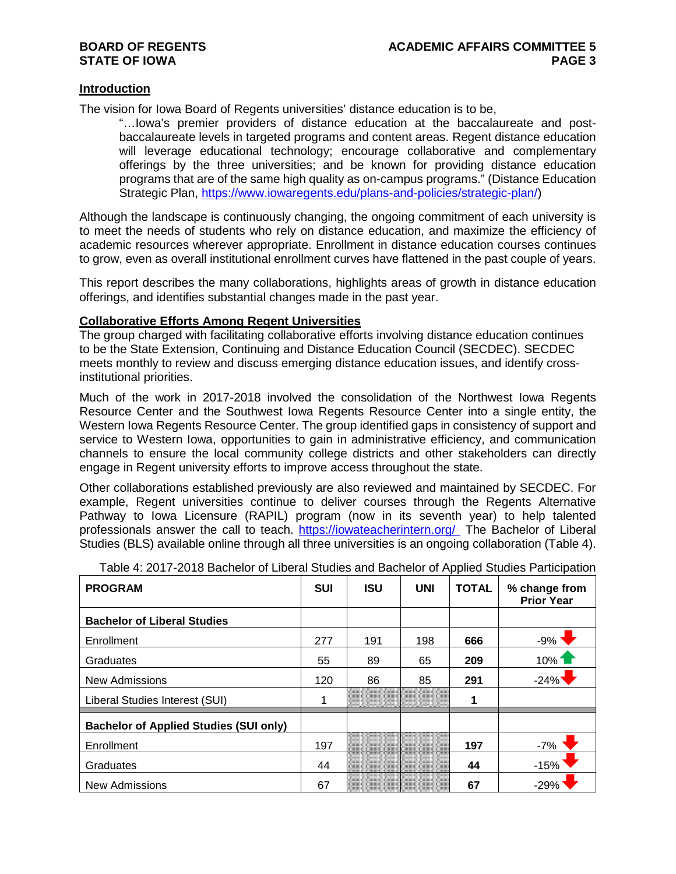#### **Introduction**

The vision for Iowa Board of Regents universities' distance education is to be,

"…Iowa's premier providers of distance education at the baccalaureate and postbaccalaureate levels in targeted programs and content areas. Regent distance education will leverage educational technology; encourage collaborative and complementary offerings by the three universities; and be known for providing distance education programs that are of the same high quality as on-campus programs." (Distance Education Strategic Plan, [https://www.iowaregents.edu/plans-and-policies/strategic-plan/\)](https://www.iowaregents.edu/plans-and-policies/strategic-plan/)

Although the landscape is continuously changing, the ongoing commitment of each university is to meet the needs of students who rely on distance education, and maximize the efficiency of academic resources wherever appropriate. Enrollment in distance education courses continues to grow, even as overall institutional enrollment curves have flattened in the past couple of years.

This report describes the many collaborations, highlights areas of growth in distance education offerings, and identifies substantial changes made in the past year.

#### **Collaborative Efforts Among Regent Universities**

The group charged with facilitating collaborative efforts involving distance education continues to be the State Extension, Continuing and Distance Education Council (SECDEC). SECDEC meets monthly to review and discuss emerging distance education issues, and identify crossinstitutional priorities.

Much of the work in 2017-2018 involved the consolidation of the Northwest Iowa Regents Resource Center and the Southwest Iowa Regents Resource Center into a single entity, the Western Iowa Regents Resource Center. The group identified gaps in consistency of support and service to Western Iowa, opportunities to gain in administrative efficiency, and communication channels to ensure the local community college districts and other stakeholders can directly engage in Regent university efforts to improve access throughout the state.

Other collaborations established previously are also reviewed and maintained by SECDEC. For example, Regent universities continue to deliver courses through the Regents Alternative Pathway to Iowa Licensure (RAPIL) program (now in its seventh year) to help talented professionals answer the call to teach.<https://iowateacherintern.org/> The Bachelor of Liberal Studies (BLS) available online through all three universities is an ongoing collaboration (Table 4).

| <b>PROGRAM</b>                                | <b>SUI</b> | <b>ISU</b> | <b>UNI</b> | <b>TOTAL</b> | % change from<br><b>Prior Year</b> |
|-----------------------------------------------|------------|------------|------------|--------------|------------------------------------|
| <b>Bachelor of Liberal Studies</b>            |            |            |            |              |                                    |
| Enrollment                                    | 277        | 191        | 198        | 666          | $-9%$                              |
| Graduates                                     | 55         | 89         | 65         | 209          | 10%                                |
| <b>New Admissions</b>                         | 120        | 86         | 85         | 291          | $-24%$                             |
| Liberal Studies Interest (SUI)                |            |            |            | 1            |                                    |
| <b>Bachelor of Applied Studies (SUI only)</b> |            |            |            |              |                                    |
| Enrollment                                    | 197        |            |            | 197          | $-7%$                              |
| Graduates                                     | 44         |            |            | 44           | $-15%$                             |
| <b>New Admissions</b>                         | 67         |            |            | 67           | $-29%$                             |

Table 4: 2017-2018 Bachelor of Liberal Studies and Bachelor of Applied Studies Participation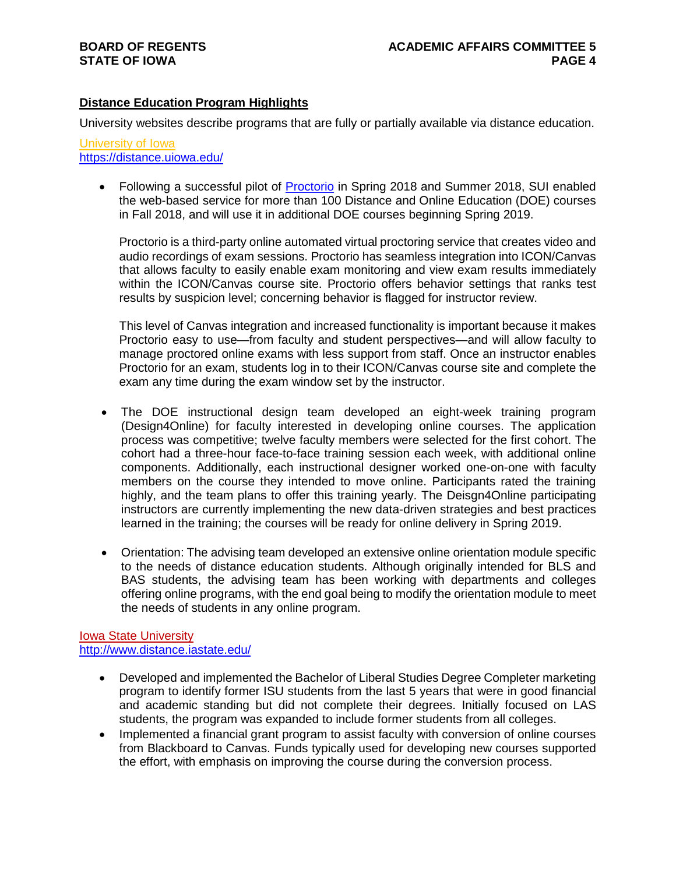### **Distance Education Program Highlights**

University websites describe programs that are fully or partially available via distance education.

#### University of Iowa <https://distance.uiowa.edu/>

• Following a successful pilot of [Proctorio](https://proctorio.com/) in Spring 2018 and Summer 2018, SUI enabled the web-based service for more than 100 Distance and Online Education (DOE) courses in Fall 2018, and will use it in additional DOE courses beginning Spring 2019.

Proctorio is a third-party online automated virtual proctoring service that creates video and audio recordings of exam sessions. Proctorio has seamless integration into ICON/Canvas that allows faculty to easily enable exam monitoring and view exam results immediately within the ICON/Canvas course site. Proctorio offers behavior settings that ranks test results by suspicion level; concerning behavior is flagged for instructor review.

This level of Canvas integration and increased functionality is important because it makes Proctorio easy to use—from faculty and student perspectives—and will allow faculty to manage proctored online exams with less support from staff. Once an instructor enables Proctorio for an exam, students log in to their ICON/Canvas course site and complete the exam any time during the exam window set by the instructor.

- The DOE instructional design team developed an eight-week training program (Design4Online) for faculty interested in developing online courses. The application process was competitive; twelve faculty members were selected for the first cohort. The cohort had a three-hour face-to-face training session each week, with additional online components. Additionally, each instructional designer worked one-on-one with faculty members on the course they intended to move online. Participants rated the training highly, and the team plans to offer this training yearly. The Deisgn4Online participating instructors are currently implementing the new data-driven strategies and best practices learned in the training; the courses will be ready for online delivery in Spring 2019.
- Orientation: The advising team developed an extensive online orientation module specific to the needs of distance education students. Although originally intended for BLS and BAS students, the advising team has been working with departments and colleges offering online programs, with the end goal being to modify the orientation module to meet the needs of students in any online program.

#### Iowa State University <http://www.distance.iastate.edu/>

- Developed and implemented the Bachelor of Liberal Studies Degree Completer marketing program to identify former ISU students from the last 5 years that were in good financial and academic standing but did not complete their degrees. Initially focused on LAS students, the program was expanded to include former students from all colleges.
- Implemented a financial grant program to assist faculty with conversion of online courses from Blackboard to Canvas. Funds typically used for developing new courses supported the effort, with emphasis on improving the course during the conversion process.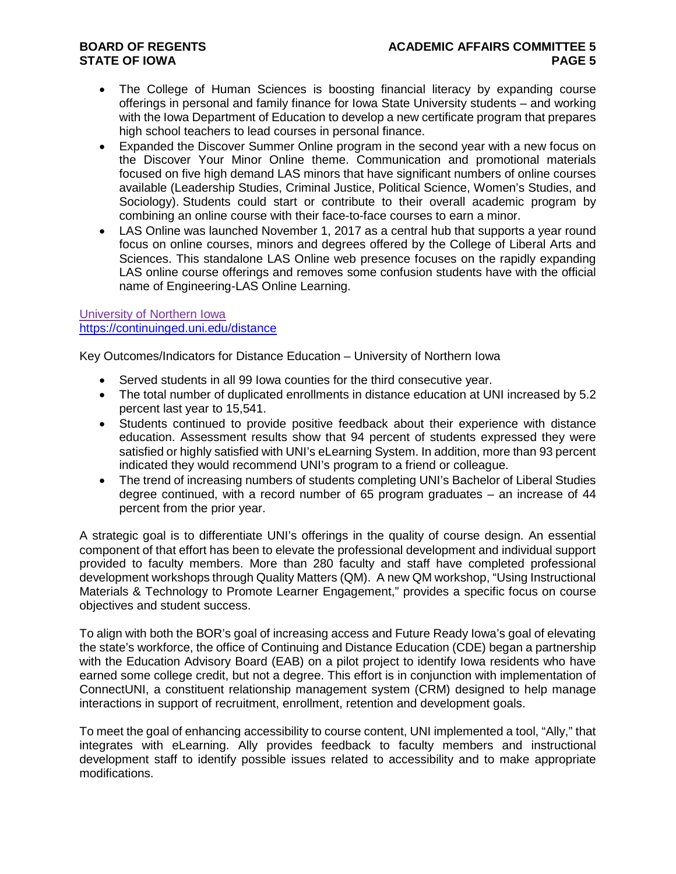- The College of Human Sciences is boosting financial literacy by expanding course offerings in personal and family finance for Iowa State University students – and working with the Iowa Department of Education to develop a new certificate program that prepares high school teachers to lead courses in personal finance.
- Expanded the Discover Summer Online program in the second year with a new focus on the Discover Your Minor Online theme. Communication and promotional materials focused on five high demand LAS minors that have significant numbers of online courses available (Leadership Studies, Criminal Justice, Political Science, Women's Studies, and Sociology). Students could start or contribute to their overall academic program by combining an online course with their face-to-face courses to earn a minor.
- LAS Online was launched November 1, 2017 as a central hub that supports a year round focus on online courses, minors and degrees offered by the College of Liberal Arts and Sciences. This standalone LAS Online web presence focuses on the rapidly expanding LAS online course offerings and removes some confusion students have with the official name of Engineering-LAS Online Learning.

University of Northern Iowa <https://continuinged.uni.edu/distance>

Key Outcomes/Indicators for Distance Education – University of Northern Iowa

- Served students in all 99 Iowa counties for the third consecutive year.
- The total number of duplicated enrollments in distance education at UNI increased by 5.2 percent last year to 15,541.
- Students continued to provide positive feedback about their experience with distance education. Assessment results show that 94 percent of students expressed they were satisfied or highly satisfied with UNI's eLearning System. In addition, more than 93 percent indicated they would recommend UNI's program to a friend or colleague.
- The trend of increasing numbers of students completing UNI's Bachelor of Liberal Studies degree continued, with a record number of 65 program graduates – an increase of 44 percent from the prior year.

A strategic goal is to differentiate UNI's offerings in the quality of course design. An essential component of that effort has been to elevate the professional development and individual support provided to faculty members. More than 280 faculty and staff have completed professional development workshops through Quality Matters (QM). A new QM workshop, "Using Instructional Materials & Technology to Promote Learner Engagement," provides a specific focus on course objectives and student success.

To align with both the BOR's goal of increasing access and Future Ready Iowa's goal of elevating the state's workforce, the office of Continuing and Distance Education (CDE) began a partnership with the Education Advisory Board (EAB) on a pilot project to identify Iowa residents who have earned some college credit, but not a degree. This effort is in conjunction with implementation of ConnectUNI, a constituent relationship management system (CRM) designed to help manage interactions in support of recruitment, enrollment, retention and development goals.

To meet the goal of enhancing accessibility to course content, UNI implemented a tool, "Ally," that integrates with eLearning. Ally provides feedback to faculty members and instructional development staff to identify possible issues related to accessibility and to make appropriate modifications.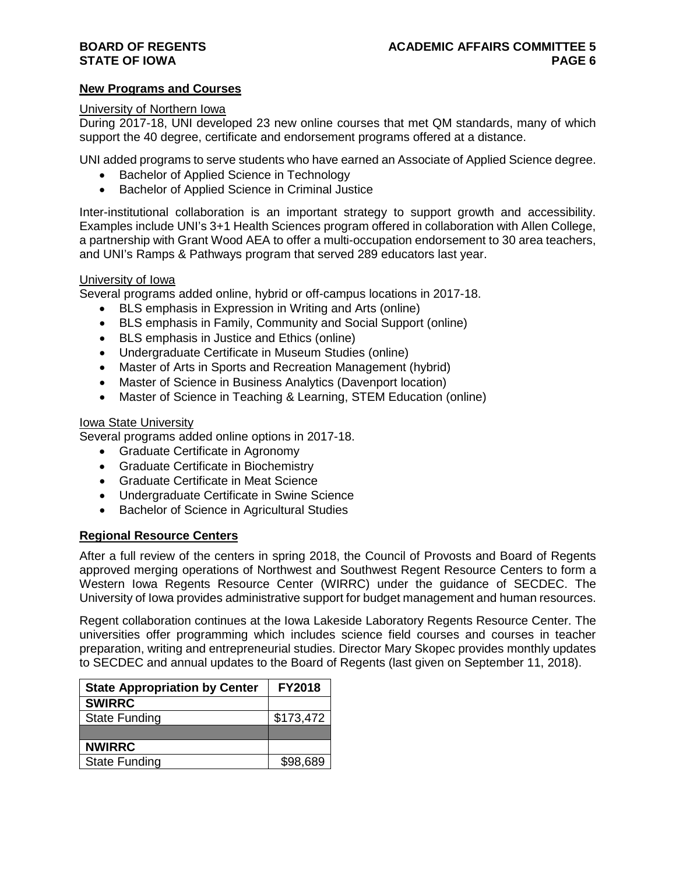#### **New Programs and Courses**

#### University of Northern Iowa

During 2017-18, UNI developed 23 new online courses that met QM standards, many of which support the 40 degree, certificate and endorsement programs offered at a distance.

UNI added programs to serve students who have earned an Associate of Applied Science degree.

- Bachelor of Applied Science in Technology
- Bachelor of Applied Science in Criminal Justice

Inter-institutional collaboration is an important strategy to support growth and accessibility. Examples include UNI's 3+1 Health Sciences program offered in collaboration with Allen College, a partnership with Grant Wood AEA to offer a multi-occupation endorsement to 30 area teachers, and UNI's Ramps & Pathways program that served 289 educators last year.

#### University of Iowa

Several programs added online, hybrid or off-campus locations in 2017-18.

- BLS emphasis in Expression in Writing and Arts (online)
- BLS emphasis in Family, Community and Social Support (online)
- BLS emphasis in Justice and Ethics (online)
- Undergraduate Certificate in Museum Studies (online)
- Master of Arts in Sports and Recreation Management (hybrid)
- Master of Science in Business Analytics (Davenport location)
- Master of Science in Teaching & Learning, STEM Education (online)

#### Iowa State University

Several programs added online options in 2017-18.

- Graduate Certificate in Agronomy
- Graduate Certificate in Biochemistry
- Graduate Certificate in Meat Science
- Undergraduate Certificate in Swine Science
- Bachelor of Science in Agricultural Studies

#### **Regional Resource Centers**

After a full review of the centers in spring 2018, the Council of Provosts and Board of Regents approved merging operations of Northwest and Southwest Regent Resource Centers to form a Western Iowa Regents Resource Center (WIRRC) under the guidance of SECDEC. The University of Iowa provides administrative support for budget management and human resources.

Regent collaboration continues at the Iowa Lakeside Laboratory Regents Resource Center. The universities offer programming which includes science field courses and courses in teacher preparation, writing and entrepreneurial studies. Director Mary Skopec provides monthly updates to SECDEC and annual updates to the Board of Regents (last given on September 11, 2018).

| <b>State Appropriation by Center</b> | <b>FY2018</b> |
|--------------------------------------|---------------|
| <b>SWIRRC</b>                        |               |
| <b>State Funding</b>                 | \$173,472     |
|                                      |               |
| <b>NWIRRC</b>                        |               |
| <b>State Funding</b>                 | \$98,689      |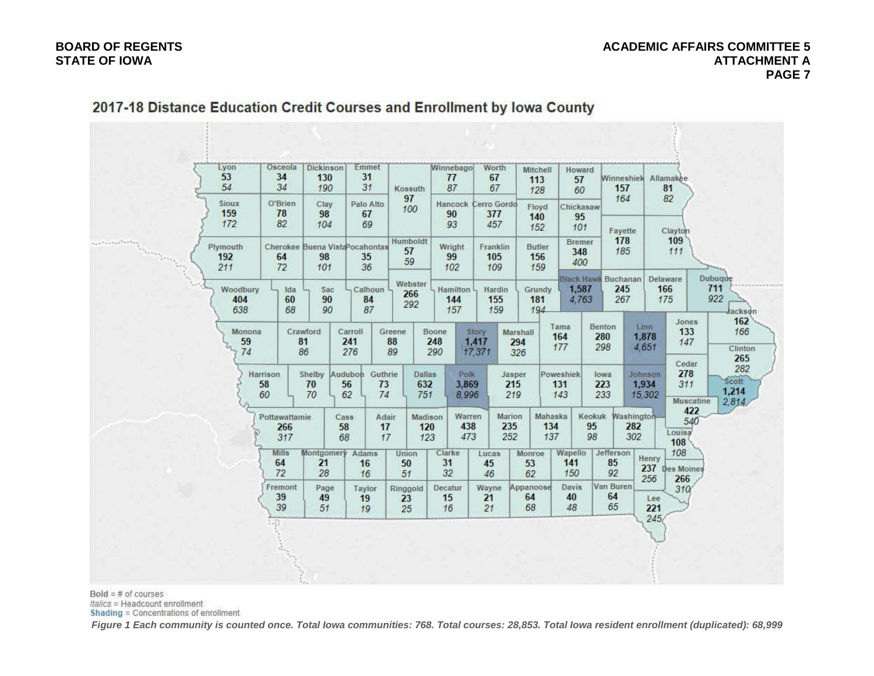#### **BOARD OF REGENTS ACADEMIC AFFAIRS COMMITTEE 5 STATE OF IOWA ATTACHMENT A PAGE 7**

| Lyon<br>53<br>54          | Osceola<br>34<br>34                  | Dickinson<br>130<br>190      | Emmet<br>31<br>31                           | Kossuth<br>97                              | Winnebago<br>77<br>87         | Worth<br>67<br>67                 | Mitchell<br>113<br>128        | Howard<br>57<br>60          | 157<br>164                        | Winneshiek Allamakee<br>81<br>82                                      |                              |
|---------------------------|--------------------------------------|------------------------------|---------------------------------------------|--------------------------------------------|-------------------------------|-----------------------------------|-------------------------------|-----------------------------|-----------------------------------|-----------------------------------------------------------------------|------------------------------|
| Sioux<br>159<br>172       | O'Brien<br>78<br>82                  | Clay<br>98<br>104            | Palo Alto<br>67<br>69                       | 100                                        | 90<br>93                      | Hancock Cerro Gordo<br>377<br>457 | Floyd<br>140<br>152           | Chickasaw<br>95<br>101      | Fayette                           | Clayton                                                               |                              |
| Plymouth<br>192<br>211    | 64<br>72                             | 98<br>101                    | Cherokee Buena Vista Pocahontas<br>35<br>36 | Humboldt<br>57<br>59                       | Wright<br>99<br>102           | Franklin<br>105<br>109            | <b>Butler</b><br>156<br>159   | <b>Bremer</b><br>348<br>400 | 178<br>185                        | 109<br>111                                                            |                              |
| Woodbury<br>404           | Ida<br>60                            | Sac<br>90                    | Calhoun<br>84                               | Webster<br>266<br>292                      | Hamilton 4<br>144             | Hardin<br>155                     | Grundy<br>181                 | 1,587<br>4.763              | Black Hawk Buchanan<br>245<br>267 | Delaware<br>166<br>175                                                | <b>Dubuque</b><br>711<br>922 |
| 638<br>Monona<br>59<br>74 | 68                                   | 90<br>Crawford<br>81<br>86   | 87<br>Carroll<br>241<br>276                 | Greene<br>88<br>89                         | 157<br>Boone<br>248<br>290    | 159<br>Story<br>1,417<br>17,371   | 194<br>Marshall<br>294<br>326 | Tama<br>164<br>177          | Benton<br>280<br>298              | Jones<br>Linn<br>133<br>1,878<br>147<br>4,651                         |                              |
|                           | Harrison<br>58<br>60                 | Shelby Audubon<br>70<br>70   | Guthrie<br>73<br>56<br>62<br>74             | <b>Dallas</b><br>632<br>751                | <b>Polk</b><br>3.869<br>8,996 | Jasper<br>215<br>219              |                               | Poweshiek<br>131<br>143     | lowa<br>223<br>233                | Cedar<br>278<br>Johnson<br>1,934<br>311<br>15,302<br><b>Muscatine</b> | Scott<br>1,214<br>2.814      |
|                           | Pottawattamie<br>266<br>317          |                              | Cass<br>58<br>68                            | Madison<br>Adair<br>120<br>17<br>17<br>123 | Warren<br>438<br>473          | Marion<br>235<br>252              | Mahaska<br>134<br>137         | 95<br>98                    | Keokuk Washington<br>282<br>302   | 422<br>540<br>Louisa<br>108 <sup>6</sup>                              |                              |
|                           | <b>Mills</b><br>64<br>72             | Montgomery Adams<br>21<br>28 | 16<br>16                                    | Union<br>50<br>51                          | Clarke<br>31<br>32            | Lucas<br>45<br>46                 | Monroe<br>53<br>62            | Wapello<br>141<br>150       | Jefferson<br>85<br>92             | 108<br>Henry<br>237 Des Moines<br>256<br>266                          |                              |
|                           | Fremont<br>39<br>39<br>$\mathcal{L}$ | Page<br>49<br>51             | Taylor<br>19<br>19                          | Ringgold<br>23<br>25                       | Decatur<br>15<br>16           | Wayne<br>21<br>21                 | Appanoose<br>64<br>68         | <b>Davis</b><br>40<br>48    | Van Buren<br>64<br>65             | 310 <sup>°</sup><br>Lee<br>221<br>245                                 |                              |

# 2017-18 Distance Education Credit Courses and Enrollment by Iowa County

 $Bold = # of courses$ 

Italics = Headcount enrollment

Shading = Concentrations of enrollment

*Figure 1 Each community is counted once. Total Iowa communities: 768. Total courses: 28,853. Total Iowa resident enrollment (duplicated): 68,999*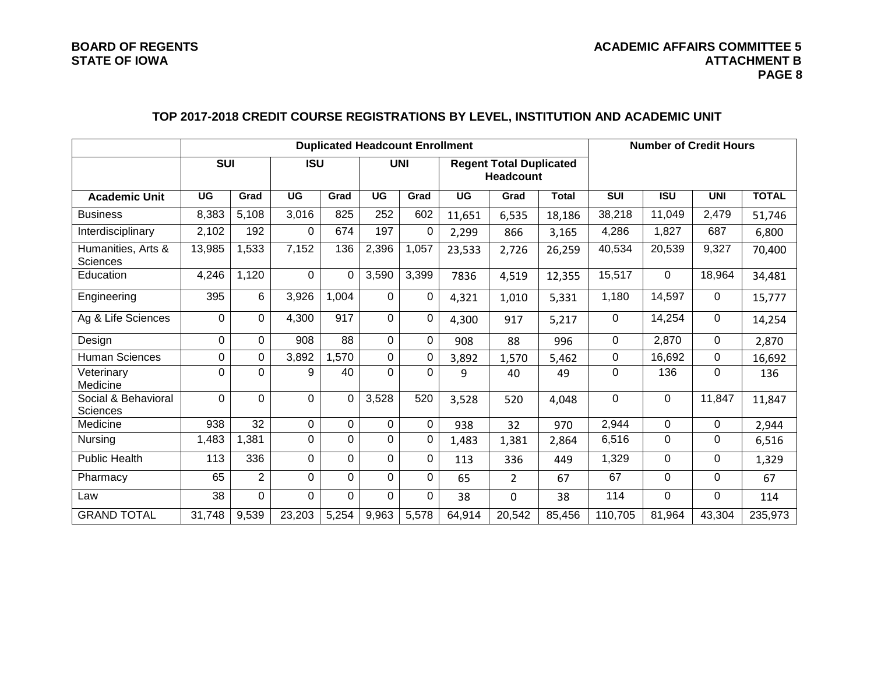## **TOP 2017-2018 CREDIT COURSE REGISTRATIONS BY LEVEL, INSTITUTION AND ACADEMIC UNIT**

|                                        |            |                |                | <b>Duplicated Headcount Enrollment</b> |            | <b>Number of Credit Hours</b> |                                                    |                |              |            |                |             |              |
|----------------------------------------|------------|----------------|----------------|----------------------------------------|------------|-------------------------------|----------------------------------------------------|----------------|--------------|------------|----------------|-------------|--------------|
|                                        | <b>SUI</b> |                | <b>ISU</b>     |                                        | <b>UNI</b> |                               | <b>Regent Total Duplicated</b><br><b>Headcount</b> |                |              |            |                |             |              |
| <b>Academic Unit</b>                   | UG         | Grad           | <b>UG</b>      | Grad                                   | <b>UG</b>  | Grad                          | <b>UG</b>                                          | Grad           | <b>Total</b> | <b>SUI</b> | <b>ISU</b>     | <b>UNI</b>  | <b>TOTAL</b> |
| <b>Business</b>                        | 8,383      | 5,108          | 3,016          | 825                                    | 252        | 602                           | 11,651                                             | 6,535          | 18,186       | 38,218     | 11,049         | 2,479       | 51,746       |
| Interdisciplinary                      | 2,102      | 192            | 0              | 674                                    | 197        | 0                             | 2,299                                              | 866            | 3,165        | 4,286      | 1,827          | 687         | 6,800        |
| Humanities, Arts &<br><b>Sciences</b>  | 13,985     | 1,533          | 7,152          | 136                                    | 2,396      | 1,057                         | 23,533                                             | 2,726          | 26,259       | 40,534     | 20,539         | 9,327       | 70,400       |
| Education                              | 4,246      | 1,120          | $\overline{0}$ | $\Omega$                               | 3,590      | 3,399                         | 7836                                               | 4,519          | 12,355       | 15,517     | $\mathbf 0$    | 18,964      | 34,481       |
| Engineering                            | 395        | 6              | 3,926          | 1,004                                  | $\Omega$   | $\Omega$                      | 4,321                                              | 1,010          | 5,331        | 1,180      | 14,597         | $\Omega$    | 15,777       |
| Ag & Life Sciences                     | 0          | $\overline{0}$ | 4,300          | 917                                    | $\Omega$   | $\Omega$                      | 4,300                                              | 917            | 5,217        | 0          | 14,254         | $\mathbf 0$ | 14,254       |
| Design                                 | 0          | $\Omega$       | 908            | 88                                     | $\Omega$   | $\Omega$                      | 908                                                | 88             | 996          | 0          | 2,870          | 0           | 2,870        |
| Human Sciences                         | 0          | 0              | 3,892          | 1,570                                  | 0          | 0                             | 3,892                                              | 1,570          | 5,462        | 0          | 16,692         | 0           | 16,692       |
| Veterinary<br>Medicine                 | 0          | 0              | 9              | 40                                     | 0          | 0                             | 9                                                  | 40             | 49           | 0          | 136            | $\Omega$    | 136          |
| Social & Behavioral<br><b>Sciences</b> | $\Omega$   | $\Omega$       | $\Omega$       | $\Omega$                               | 3,528      | 520                           | 3,528                                              | 520            | 4,048        | $\Omega$   | $\Omega$       | 11,847      | 11,847       |
| Medicine                               | 938        | 32             | 0              | $\Omega$                               | $\Omega$   | $\Omega$                      | 938                                                | 32             | 970          | 2,944      | 0              | $\Omega$    | 2,944        |
| Nursing                                | 1,483      | 1,381          | $\Omega$       | $\Omega$                               | 0          | 0                             | 1,483                                              | 1,381          | 2,864        | 6,516      | $\mathbf 0$    | 0           | 6,516        |
| <b>Public Health</b>                   | 113        | 336            | 0              | $\Omega$                               | $\Omega$   | 0                             | 113                                                | 336            | 449          | 1,329      | 0              | 0           | 1,329        |
| Pharmacy                               | 65         | 2              | $\Omega$       | $\Omega$                               | $\Omega$   | 0                             | 65                                                 | $\overline{2}$ | 67           | 67         | $\Omega$       | $\Omega$    | 67           |
| Law                                    | 38         | $\overline{0}$ | $\Omega$       | $\Omega$                               | $\Omega$   | $\Omega$                      | 38                                                 | 0              | 38           | 114        | $\overline{0}$ | $\Omega$    | 114          |
| <b>GRAND TOTAL</b>                     | 31,748     | 9,539          | 23,203         | 5,254                                  | 9,963      | 5,578                         | 64,914                                             | 20,542         | 85,456       | 110,705    | 81,964         | 43,304      | 235,973      |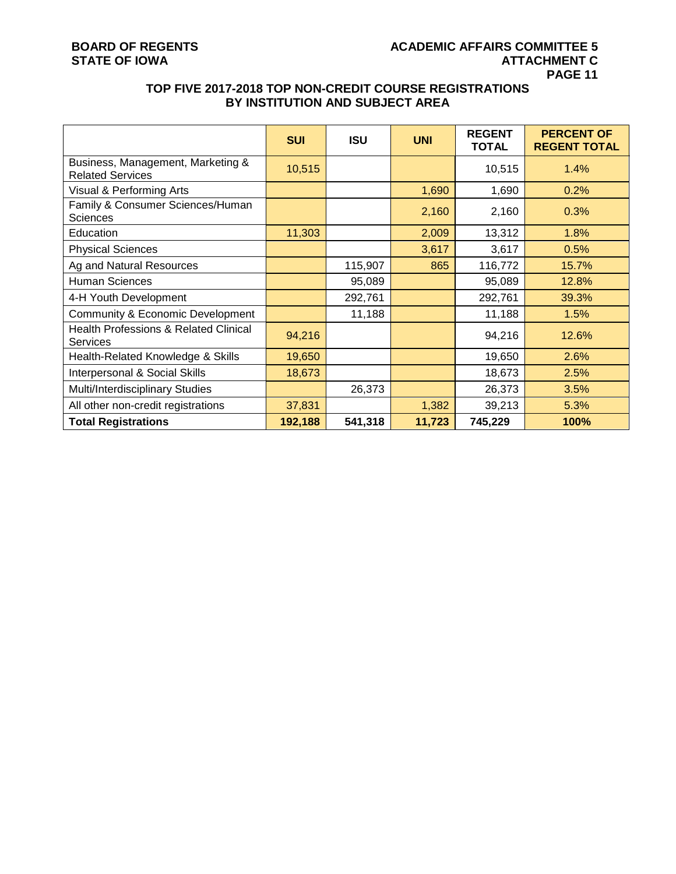### **TOP FIVE 2017-2018 TOP NON-CREDIT COURSE REGISTRATIONS BY INSTITUTION AND SUBJECT AREA**

|                                                                     | <b>SUI</b> | <b>ISU</b> | <b>UNI</b> | <b>REGENT</b><br><b>TOTAL</b> | <b>PERCENT OF</b><br><b>REGENT TOTAL</b> |
|---------------------------------------------------------------------|------------|------------|------------|-------------------------------|------------------------------------------|
| Business, Management, Marketing &<br><b>Related Services</b>        | 10,515     |            |            | 10,515                        | 1.4%                                     |
| Visual & Performing Arts                                            |            |            | 1,690      | 1,690                         | 0.2%                                     |
| Family & Consumer Sciences/Human<br><b>Sciences</b>                 |            |            | 2,160      | 2,160                         | 0.3%                                     |
| Education                                                           | 11,303     |            | 2,009      | 13,312                        | 1.8%                                     |
| <b>Physical Sciences</b>                                            |            |            | 3,617      | 3,617                         | 0.5%                                     |
| Ag and Natural Resources                                            |            | 115,907    | 865        | 116,772                       | 15.7%                                    |
| <b>Human Sciences</b>                                               |            | 95,089     |            | 95,089                        | 12.8%                                    |
| 4-H Youth Development                                               |            | 292,761    |            | 292,761                       | 39.3%                                    |
| Community & Economic Development                                    |            | 11,188     |            | 11,188                        | 1.5%                                     |
| <b>Health Professions &amp; Related Clinical</b><br><b>Services</b> | 94,216     |            |            | 94,216                        | 12.6%                                    |
| Health-Related Knowledge & Skills                                   | 19,650     |            |            | 19,650                        | 2.6%                                     |
| Interpersonal & Social Skills                                       | 18,673     |            |            | 18,673                        | 2.5%                                     |
| Multi/Interdisciplinary Studies                                     |            | 26,373     |            | 26,373                        | 3.5%                                     |
| All other non-credit registrations                                  | 37,831     |            | 1,382      | 39,213                        | 5.3%                                     |
| <b>Total Registrations</b>                                          | 192,188    | 541,318    | 11,723     | 745,229                       | 100%                                     |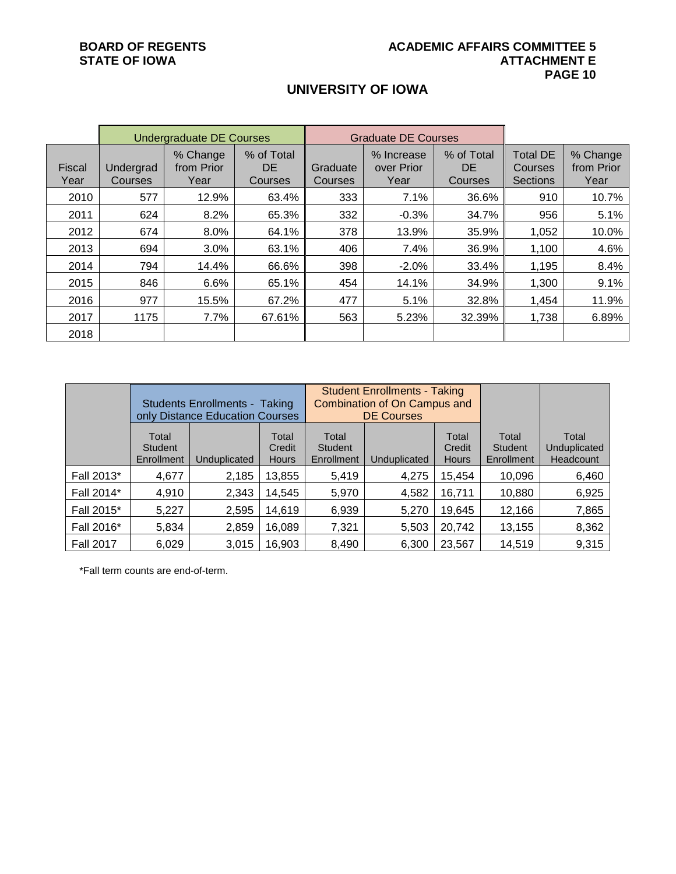## **UNIVERSITY OF IOWA**

|                       |                      | <b>Undergraduate DE Courses</b> |                             |                     | <b>Graduate DE Courses</b>       |                                    |                                                      |                                |
|-----------------------|----------------------|---------------------------------|-----------------------------|---------------------|----------------------------------|------------------------------------|------------------------------------------------------|--------------------------------|
| <b>Fiscal</b><br>Year | Undergrad<br>Courses | % Change<br>from Prior<br>Year  | % of Total<br>DE<br>Courses | Graduate<br>Courses | % Increase<br>over Prior<br>Year | % of Total<br><b>DE</b><br>Courses | <b>Total DE</b><br><b>Courses</b><br><b>Sections</b> | % Change<br>from Prior<br>Year |
| 2010                  | 577                  | 12.9%                           | 63.4%                       | 333                 | 7.1%                             | 36.6%                              | 910                                                  | 10.7%                          |
| 2011                  | 624                  | 8.2%                            | 65.3%                       | 332                 | $-0.3%$                          | 34.7%                              | 956                                                  | 5.1%                           |
| 2012                  | 674                  | 8.0%                            | 64.1%                       | 378                 | 13.9%                            | 35.9%                              | 1,052                                                | 10.0%                          |
| 2013                  | 694                  | 3.0%                            | 63.1%                       | 406                 | 7.4%                             | 36.9%                              | 1,100                                                | 4.6%                           |
| 2014                  | 794                  | 14.4%                           | 66.6%                       | 398                 | $-2.0%$                          | 33.4%                              | 1,195                                                | 8.4%                           |
| 2015                  | 846                  | 6.6%                            | 65.1%                       | 454                 | 14.1%                            | 34.9%                              | 1,300                                                | 9.1%                           |
| 2016                  | 977                  | 15.5%                           | 67.2%                       | 477                 | 5.1%                             | 32.8%                              | 1,454                                                | 11.9%                          |
| 2017                  | 1175                 | 7.7%                            | 67.61%                      | 563                 | 5.23%                            | 32.39%                             | 1,738                                                | 6.89%                          |
| 2018                  |                      |                                 |                             |                     |                                  |                                    |                                                      |                                |

|                  |                                | <b>Students Enrollments - Taking</b><br>only Distance Education Courses |                                 |                                       | <b>Student Enrollments - Taking</b><br><b>Combination of On Campus and</b><br><b>DE Courses</b> |                                 |                                |                                    |
|------------------|--------------------------------|-------------------------------------------------------------------------|---------------------------------|---------------------------------------|-------------------------------------------------------------------------------------------------|---------------------------------|--------------------------------|------------------------------------|
|                  | Total<br>Student<br>Enrollment | Unduplicated                                                            | Total<br>Credit<br><b>Hours</b> | Total<br><b>Student</b><br>Enrollment | Unduplicated                                                                                    | Total<br>Credit<br><b>Hours</b> | Total<br>Student<br>Enrollment | Total<br>Unduplicated<br>Headcount |
| Fall 2013*       | 4,677                          | 2,185                                                                   | 13,855                          | 5,419                                 | 4,275                                                                                           | 15.454                          | 10,096                         | 6,460                              |
| Fall 2014*       | 4,910                          | 2,343                                                                   | 14,545                          | 5,970                                 | 4,582                                                                                           | 16,711                          | 10,880                         | 6,925                              |
| Fall 2015*       | 5,227                          | 2,595                                                                   | 14,619                          | 6,939                                 | 5,270                                                                                           | 19,645                          | 12,166                         | 7,865                              |
| Fall 2016*       | 5,834                          | 2,859                                                                   | 16,089                          | 7,321                                 | 5,503                                                                                           | 20,742                          | 13,155                         | 8,362                              |
| <b>Fall 2017</b> | 6,029                          | 3,015                                                                   | 16,903                          | 8,490                                 | 6,300                                                                                           | 23,567                          | 14,519                         | 9,315                              |

\*Fall term counts are end-of-term.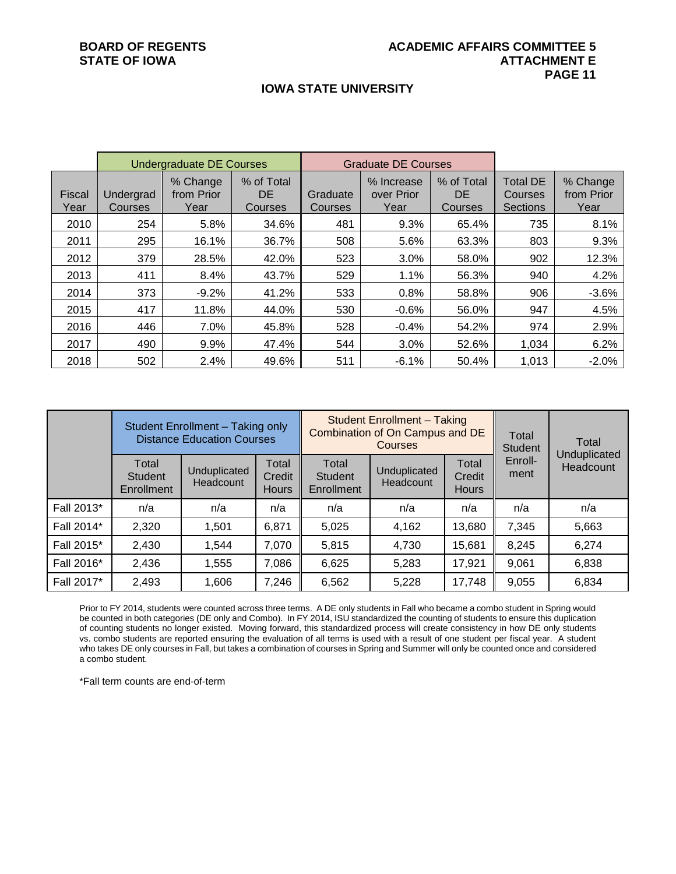#### **IOWA STATE UNIVERSITY**

|                       |                      | <b>Undergraduate DE Courses</b> |                              |                            | <b>Graduate DE Courses</b>       |                              |                                               |                                |
|-----------------------|----------------------|---------------------------------|------------------------------|----------------------------|----------------------------------|------------------------------|-----------------------------------------------|--------------------------------|
| <b>Fiscal</b><br>Year | Undergrad<br>Courses | % Change<br>from Prior<br>Year  | % of Total<br>DE.<br>Courses | Graduate<br><b>Courses</b> | % Increase<br>over Prior<br>Year | % of Total<br>DE.<br>Courses | <b>Total DE</b><br><b>Courses</b><br>Sections | % Change<br>from Prior<br>Year |
| 2010                  | 254                  | 5.8%                            | 34.6%                        | 481                        | 9.3%                             | 65.4%                        | 735                                           | 8.1%                           |
| 2011                  | 295                  | 16.1%                           | 36.7%                        | 508                        | 5.6%                             | 63.3%                        | 803                                           | 9.3%                           |
| 2012                  | 379                  | 28.5%                           | 42.0%                        | 523                        | 3.0%                             | 58.0%                        | 902                                           | 12.3%                          |
| 2013                  | 411                  | 8.4%                            | 43.7%                        | 529                        | 1.1%                             | 56.3%                        | 940                                           | 4.2%                           |
| 2014                  | 373                  | $-9.2%$                         | 41.2%                        | 533                        | 0.8%                             | 58.8%                        | 906                                           | $-3.6%$                        |
| 2015                  | 417                  | 11.8%                           | 44.0%                        | 530                        | $-0.6%$                          | 56.0%                        | 947                                           | 4.5%                           |
| 2016                  | 446                  | 7.0%                            | 45.8%                        | 528                        | $-0.4%$                          | 54.2%                        | 974                                           | 2.9%                           |
| 2017                  | 490                  | 9.9%                            | 47.4%                        | 544                        | 3.0%                             | 52.6%                        | 1,034                                         | 6.2%                           |
| 2018                  | 502                  | 2.4%                            | 49.6%                        | 511                        | $-6.1%$                          | 50.4%                        | 1,013                                         | $-2.0%$                        |

|            | Student Enrollment - Taking only<br><b>Distance Education Courses</b> |                           |                                 |                                       | <b>Student Enrollment - Taking</b><br>Combination of On Campus and DE<br>Courses | Total<br><b>Student</b> | Total           |                           |  |
|------------|-----------------------------------------------------------------------|---------------------------|---------------------------------|---------------------------------------|----------------------------------------------------------------------------------|-------------------------|-----------------|---------------------------|--|
|            | Total<br><b>Student</b><br>Enrollment                                 | Unduplicated<br>Headcount | Total<br>Credit<br><b>Hours</b> | Total<br><b>Student</b><br>Enrollment | Total<br>Unduplicated<br>Credit<br>Headcount<br><b>Hours</b>                     |                         | Enroll-<br>ment | Unduplicated<br>Headcount |  |
| Fall 2013* | n/a                                                                   | n/a                       | n/a                             | n/a                                   | n/a                                                                              | n/a                     | n/a             | n/a                       |  |
| Fall 2014* | 2,320                                                                 | 1,501                     | 6,871                           | 5,025                                 | 4,162                                                                            | 13,680                  | 7,345           | 5,663                     |  |
| Fall 2015* | 2,430                                                                 | 1,544                     | 7,070                           | 5,815                                 | 4,730                                                                            | 15,681                  | 8,245           | 6,274                     |  |
| Fall 2016* | 2,436                                                                 | 1,555                     | 7,086                           | 6,625                                 | 5,283                                                                            | 17,921                  | 9,061           | 6,838                     |  |
| Fall 2017* | 2,493                                                                 | 1,606                     | 7,246                           | 6,562                                 | 5,228                                                                            | 17,748                  | 9,055           | 6,834                     |  |

Prior to FY 2014, students were counted across three terms. A DE only students in Fall who became a combo student in Spring would be counted in both categories (DE only and Combo). In FY 2014, ISU standardized the counting of students to ensure this duplication of counting students no longer existed. Moving forward, this standardized process will create consistency in how DE only students vs. combo students are reported ensuring the evaluation of all terms is used with a result of one student per fiscal year. A student who takes DE only courses in Fall, but takes a combination of courses in Spring and Summer will only be counted once and considered a combo student.

\*Fall term counts are end-of-term